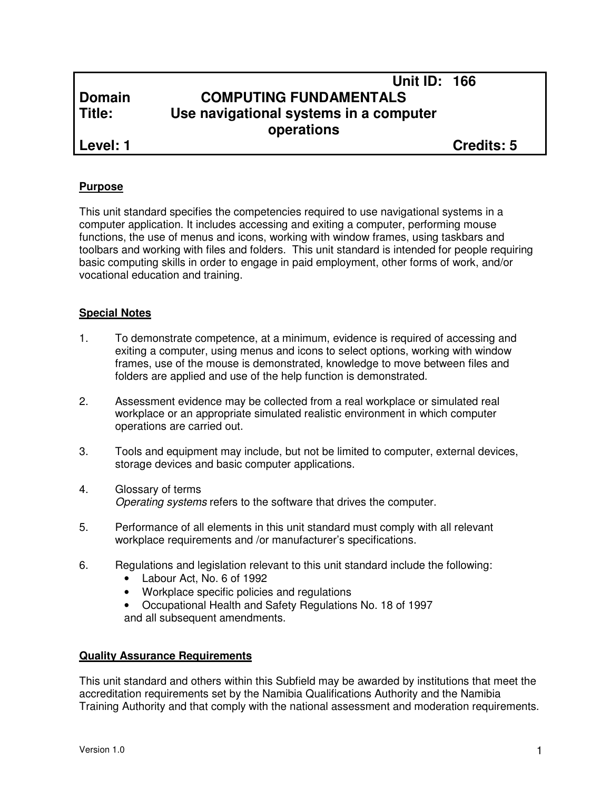|               | <b>Unit ID: 166</b>                    |                   |
|---------------|----------------------------------------|-------------------|
| <b>Domain</b> | <b>COMPUTING FUNDAMENTALS</b>          |                   |
| Title:        | Use navigational systems in a computer |                   |
|               | operations                             |                   |
| Level: 1      |                                        | <b>Credits: 5</b> |

#### **Purpose**

This unit standard specifies the competencies required to use navigational systems in a computer application. It includes accessing and exiting a computer, performing mouse functions, the use of menus and icons, working with window frames, using taskbars and toolbars and working with files and folders. This unit standard is intended for people requiring basic computing skills in order to engage in paid employment, other forms of work, and/or vocational education and training.

#### **Special Notes**

- 1. To demonstrate competence, at a minimum, evidence is required of accessing and exiting a computer, using menus and icons to select options, working with window frames, use of the mouse is demonstrated, knowledge to move between files and folders are applied and use of the help function is demonstrated.
- 2. Assessment evidence may be collected from a real workplace or simulated real workplace or an appropriate simulated realistic environment in which computer operations are carried out.
- 3. Tools and equipment may include, but not be limited to computer, external devices, storage devices and basic computer applications.
- 4. Glossary of terms Operating systems refers to the software that drives the computer.
- 5. Performance of all elements in this unit standard must comply with all relevant workplace requirements and /or manufacturer's specifications.
- 6. Regulations and legislation relevant to this unit standard include the following:
	- Labour Act, No. 6 of 1992
	- Workplace specific policies and regulations
	- Occupational Health and Safety Regulations No. 18 of 1997 and all subsequent amendments.

#### **Quality Assurance Requirements**

This unit standard and others within this Subfield may be awarded by institutions that meet the accreditation requirements set by the Namibia Qualifications Authority and the Namibia Training Authority and that comply with the national assessment and moderation requirements.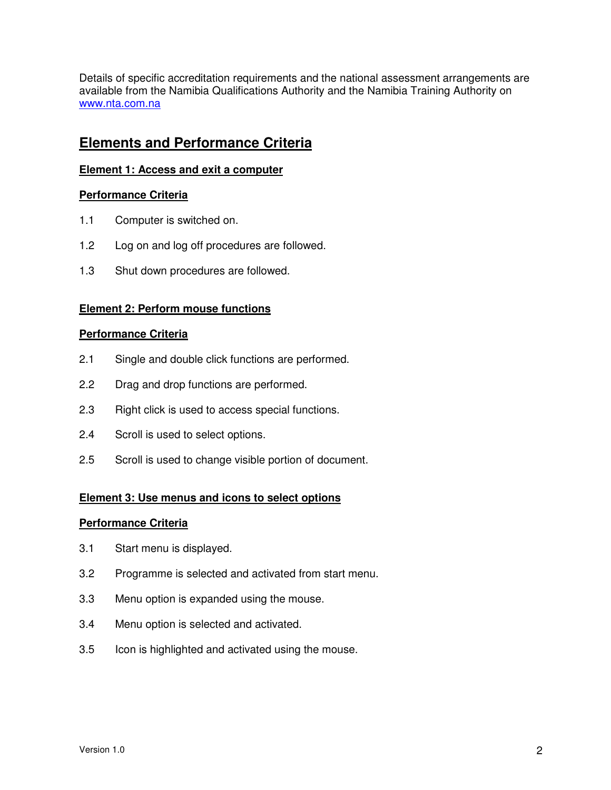Details of specific accreditation requirements and the national assessment arrangements are available from the Namibia Qualifications Authority and the Namibia Training Authority on www.nta.com.na

# **Elements and Performance Criteria**

## **Element 1: Access and exit a computer**

## **Performance Criteria**

- 1.1 Computer is switched on.
- 1.2 Log on and log off procedures are followed.
- 1.3 Shut down procedures are followed.

# **Element 2: Perform mouse functions**

#### **Performance Criteria**

- 2.1 Single and double click functions are performed.
- 2.2 Drag and drop functions are performed.
- 2.3 Right click is used to access special functions.
- 2.4 Scroll is used to select options.
- 2.5 Scroll is used to change visible portion of document.

#### **Element 3: Use menus and icons to select options**

#### **Performance Criteria**

- 3.1 Start menu is displayed.
- 3.2 Programme is selected and activated from start menu.
- 3.3 Menu option is expanded using the mouse.
- 3.4 Menu option is selected and activated.
- 3.5 Icon is highlighted and activated using the mouse.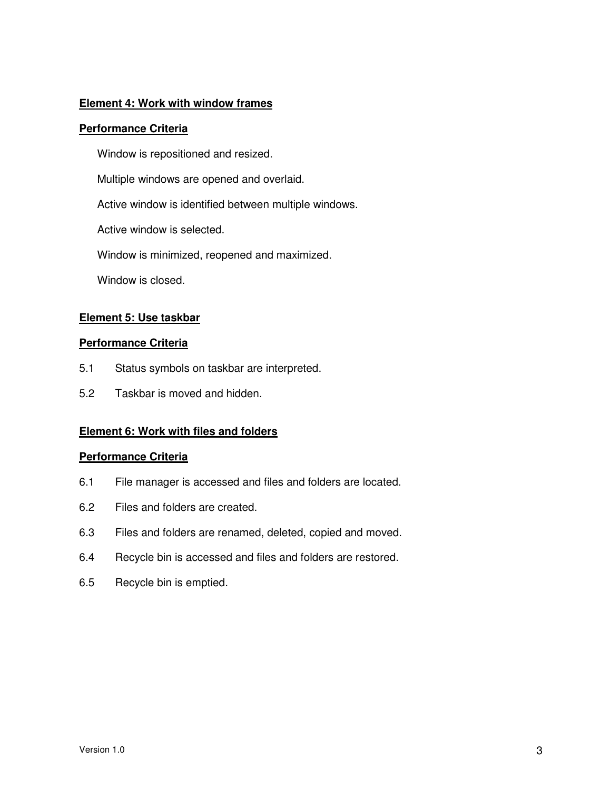#### **Element 4: Work with window frames**

#### **Performance Criteria**

Window is repositioned and resized.

Multiple windows are opened and overlaid.

Active window is identified between multiple windows.

Active window is selected.

Window is minimized, reopened and maximized.

Window is closed.

## **Element 5: Use taskbar**

#### **Performance Criteria**

- 5.1 Status symbols on taskbar are interpreted.
- 5.2 Taskbar is moved and hidden.

#### **Element 6: Work with files and folders**

#### **Performance Criteria**

- 6.1 File manager is accessed and files and folders are located.
- 6.2 Files and folders are created.
- 6.3 Files and folders are renamed, deleted, copied and moved.
- 6.4 Recycle bin is accessed and files and folders are restored.
- 6.5 Recycle bin is emptied.